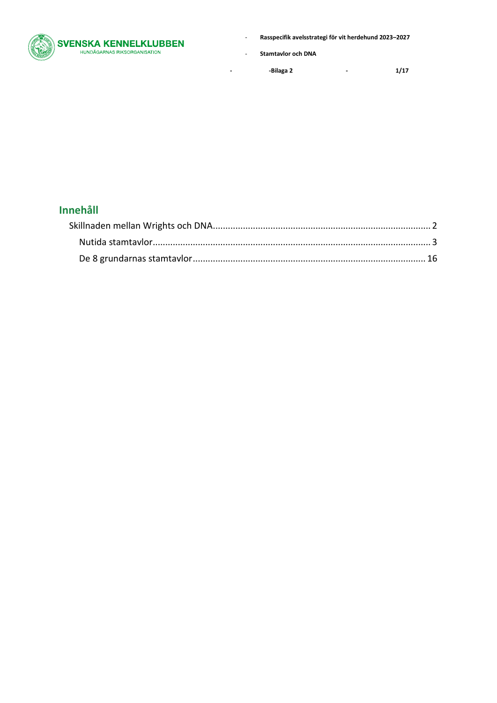

- **Stamtavlor och DNA**

**- -Bilaga 2 - 1/17**

## **Innehåll**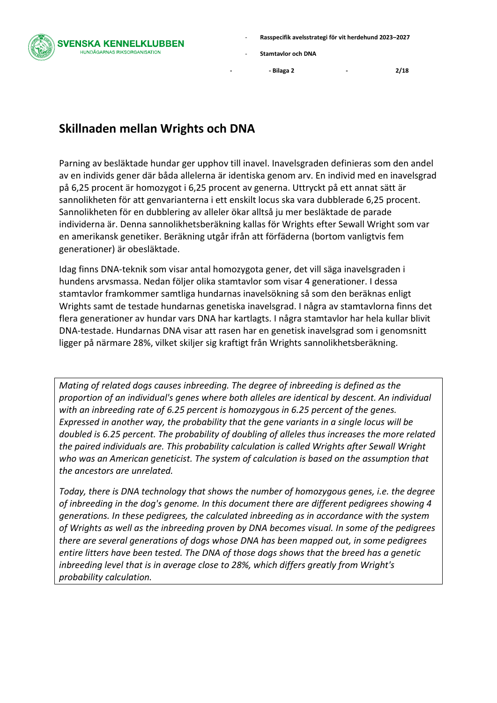**VENSKA KENNELKLUBBEN IUNDÄGARNAS RIKSORGANISATION** 

- **Rasspecifik avelsstrategi för vit herdehund 2023–2027**
- **Stamtavlor och DNA**

**- - Bilaga 2 - 2/18**

## <span id="page-1-0"></span>**Skillnaden mellan Wrights och DNA**

Parning av besläktade hundar ger upphov till inavel. Inavelsgraden definieras som den andel av en individs gener där båda allelerna är identiska genom arv. En individ med en inavelsgrad på 6,25 procent är homozygot i 6,25 procent av generna. Uttryckt på ett annat sätt är sannolikheten för att genvarianterna i ett enskilt locus ska vara dubblerade 6,25 procent. Sannolikheten för en dubblering av alleler ökar alltså ju mer besläktade de parade individerna är. Denna sannolikhetsberäkning kallas för Wrights efter Sewall Wright som var en amerikansk genetiker. Beräkning utgår ifrån att förfäderna (bortom vanligtvis fem generationer) är obesläktade.

Idag finns DNA-teknik som visar antal homozygota gener, det vill säga inavelsgraden i hundens arvsmassa. Nedan följer olika stamtavlor som visar 4 generationer. I dessa stamtavlor framkommer samtliga hundarnas inavelsökning så som den beräknas enligt Wrights samt de testade hundarnas genetiska inavelsgrad. I några av stamtavlorna finns det flera generationer av hundar vars DNA har kartlagts. I några stamtavlor har hela kullar blivit DNA-testade. Hundarnas DNA visar att rasen har en genetisk inavelsgrad som i genomsnitt ligger på närmare 28%, vilket skiljer sig kraftigt från Wrights sannolikhetsberäkning.

*Mating of related dogs causes inbreeding. The degree of inbreeding is defined as the proportion of an individual's genes where both alleles are identical by descent. An individual with an inbreeding rate of 6.25 percent is homozygous in 6.25 percent of the genes. Expressed in another way, the probability that the gene variants in a single locus will be doubled is 6.25 percent. The probability of doubling of alleles thus increases the more related the paired individuals are. This probability calculation is called Wrights after Sewall Wright who was an American geneticist. The system of calculation is based on the assumption that the ancestors are unrelated.*

*Today, there is DNA technology that shows the number of homozygous genes, i.e. the degree of inbreeding in the dog's genome. In this document there are different pedigrees showing 4 generations. In these pedigrees, the calculated inbreeding as in accordance with the system of Wrights as well as the inbreeding proven by DNA becomes visual. In some of the pedigrees there are several generations of dogs whose DNA has been mapped out, in some pedigrees entire litters have been tested. The DNA of those dogs shows that the breed has a genetic inbreeding level that is in average close to 28%, which differs greatly from Wright's probability calculation.*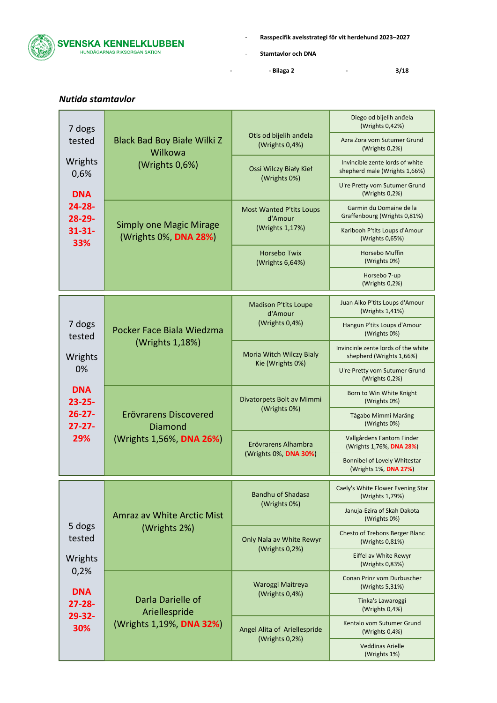

- **Stamtavlor och DNA**

**- - Bilaga 2 - 3/18**

| IVULIUU SLUIIILUVIUI       |                                                              |                                              |                                                                  |
|----------------------------|--------------------------------------------------------------|----------------------------------------------|------------------------------------------------------------------|
| 7 dogs                     |                                                              |                                              | Diego od bijelih anđela<br>(Wrights 0,42%)                       |
| tested                     | Black Bad Boy Białe Wilki Z<br>Wilkowa                       | Otis od bijelih anđela<br>(Wrights 0,4%)     | Azra Zora vom Sutumer Grund<br>(Wrights 0,2%)                    |
| Wrights<br>0,6%            | (Wrights 0,6%)                                               | Ossi Wilczy Biały Kieł                       | Invincible zente lords of white<br>shepherd male (Wrights 1,66%) |
| <b>DNA</b>                 |                                                              | (Wrights 0%)                                 | U're Pretty vom Sutumer Grund<br>(Wrights 0,2%)                  |
| $24 - 28 -$<br>28-29-      |                                                              | <b>Most Wanted P'tits Loups</b><br>d'Amour   | Garmin du Domaine de la<br>Graffenbourg (Wrights 0,81%)          |
| $31 - 31 -$<br>33%         | <b>Simply one Magic Mirage</b><br>(Wrights 0%, DNA 28%)      | (Wrights 1,17%)                              | Karibooh P'tits Loups d'Amour<br>(Wrights 0,65%)                 |
|                            |                                                              | <b>Horsebo Twix</b><br>(Wrights 6,64%)       | Horsebo Muffin<br>(Wrights 0%)                                   |
|                            |                                                              |                                              | Horsebo 7-up<br>(Wrights 0,2%)                                   |
|                            |                                                              | <b>Madison P'tits Loupe</b><br>d'Amour       | Juan Aiko P'tits Loups d'Amour<br>(Wrights 1,41%)                |
| 7 dogs<br>tested           | Pocker Face Biala Wiedzma<br>(Wrights 1,18%)                 | (Wrights 0,4%)                               | Hangun P'tits Loups d'Amour<br>(Wrights 0%)                      |
| Wrights                    |                                                              | Moria Witch Wilczy Bialy<br>Kie (Wrights 0%) | Invincinle zente lords of the white<br>shepherd (Wrights 1,66%)  |
| 0%                         |                                                              |                                              | U're Pretty vom Sutumer Grund<br>(Wrights 0,2%)                  |
| <b>DNA</b><br>$23 - 25 -$  | Erövrarens Discovered<br>Diamond<br>(Wrights 1,56%, DNA 26%) | Divatorpets Bolt av Mimmi                    | Born to Win White Knight<br>(Wrights 0%)                         |
| $26 - 27 -$<br>$27 - 27 -$ |                                                              | (Wrights 0%)                                 | Tågabo Mimmi Maräng<br>(Wrights 0%)                              |
| 29%                        |                                                              | Erövrarens Alhambra<br>(Wrights 0%, DNA 30%) | Vallgårdens Fantom Finder<br>(Wrights 1,76%, DNA 28%)            |
|                            |                                                              |                                              | Bonnibel of Lovely Whitestar<br>(Wrights 1%, DNA 27%)            |
|                            |                                                              | <b>Bandhu of Shadasa</b><br>(Wrights 0%)     | Caely's White Flower Evening Star<br>(Wrights 1,79%)             |
|                            | Amraz av White Arctic Mist                                   |                                              | Januja-Ezira of Skah Dakota<br>(Wrights 0%)                      |
| 5 dogs<br>tested           | (Wrights 2%)                                                 | Only Nala av White Rewyr                     | <b>Chesto of Trebons Berger Blanc</b><br>(Wrights 0,81%)         |
| Wrights                    |                                                              | (Wrights 0,2%)                               | Eiffel av White Rewyr<br>(Wrights 0,83%)                         |
| 0,2%<br><b>DNA</b>         |                                                              | Waroggi Maitreya<br>(Wrights 0,4%)           | Conan Prinz vom Durbuscher<br>(Wrights 5,31%)                    |
| $27 - 28 -$<br>29-32-      | Darla Darielle of<br>Ariellespride                           |                                              | Tinka's Lawaroggi<br>(Wrights 0,4%)                              |
| 30%                        | (Wrights 1,19%, DNA 32%)                                     | Angel Alita of Ariellespride                 | Kentalo vom Sutumer Grund<br>(Wrights 0,4%)                      |
|                            |                                                              | (Wrights 0,2%)                               | <b>Veddinas Arielle</b><br>(Wrights 1%)                          |

## <span id="page-2-0"></span>*Nutida stamtavlor*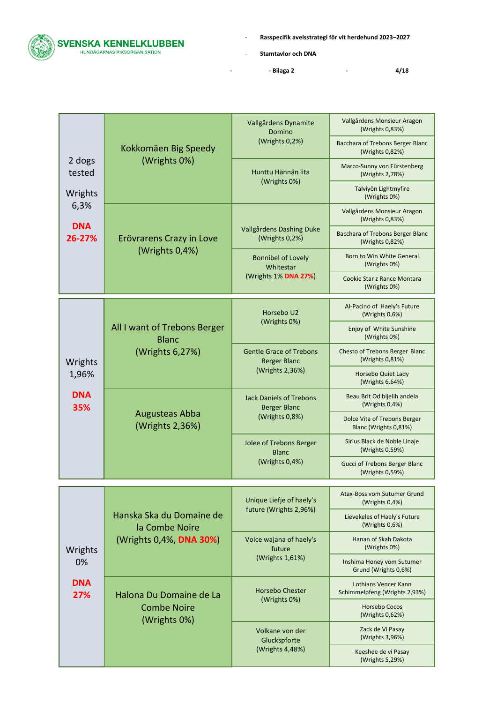

- **Stamtavlor och DNA**

**- - Bilaga 2 - 4/18**

|                         | Kokkomäen Big Speedy                                            | Vallgårdens Dynamite<br>Domino                                           | Vallgårdens Monsieur Aragon<br>(Wrights 0,83%)          |
|-------------------------|-----------------------------------------------------------------|--------------------------------------------------------------------------|---------------------------------------------------------|
|                         |                                                                 | (Wrights 0,2%)                                                           | Bacchara of Trebons Berger Blanc<br>(Wrights 0,82%)     |
| 2 dogs<br>tested        | (Wrights 0%)                                                    | Hunttu Hännän lita                                                       | Marco-Sunny von Fürstenberg<br>(Wrights 2,78%)          |
| Wrights                 |                                                                 | (Wrights 0%)                                                             | Talviyön Lightmyfire<br>(Wrights 0%)                    |
| 6,3%<br><b>DNA</b>      |                                                                 |                                                                          | Vallgårdens Monsieur Aragon<br>(Wrights 0,83%)          |
| 26-27%                  | Erövrarens Crazy in Love                                        | Vallgårdens Dashing Duke<br>(Wrights 0,2%)                               | Bacchara of Trebons Berger Blanc<br>(Wrights 0,82%)     |
|                         | (Wrights 0,4%)                                                  | <b>Bonnibel of Lovely</b><br>Whitestar                                   | Born to Win White General<br>(Wrights 0%)               |
|                         |                                                                 | (Wrights 1% DNA 27%)                                                     | Cookie Star z Rance Montara<br>(Wrights 0%)             |
|                         |                                                                 | Horsebo U2                                                               | Al-Pacino of Haely's Future<br>(Wrights 0,6%)           |
|                         | All I want of Trebons Berger<br><b>Blanc</b><br>(Wrights 6,27%) | (Wrights 0%)                                                             | Enjoy of White Sunshine<br>(Wrights 0%)                 |
| Wrights                 |                                                                 | <b>Gentle Grace of Trebons</b><br><b>Berger Blanc</b><br>(Wrights 2,36%) | Chesto of Trebons Berger Blanc<br>(Wrights 0,81%)       |
| 1,96%                   |                                                                 |                                                                          | Horsebo Quiet Lady<br>(Wrights 6,64%)                   |
| <b>DNA</b><br>35%       | <b>Augusteas Abba</b><br>(Wrights 2,36%)                        | <b>Jack Daniels of Trebons</b><br><b>Berger Blanc</b><br>(Wrights 0,8%)  | Beau Brit Od bijelih andela<br>(Wrights $0,4%$ )        |
|                         |                                                                 |                                                                          | Dolce Vita of Trebons Berger<br>Blanc (Wrights 0,81%)   |
|                         |                                                                 | Jolee of Trebons Berger<br><b>Blanc</b><br>(Wrights 0,4%)                | Sirius Black de Noble Linaje<br>(Wrights 0,59%)         |
|                         |                                                                 |                                                                          | <b>Gucci of Trebons Berger Blanc</b><br>(Wrights 0,59%) |
|                         |                                                                 | Unique Liefje of haely's                                                 | Atax-Boss vom Sutumer Grund<br>(Wrights 0,4%)           |
|                         | Hanska Ska du Domaine de<br>la Combe Noire                      | future (Wrights 2,96%)                                                   | Lievekeles of Haely's Future<br>(Wrights 0,6%)          |
| Wrights                 | (Wrights 0,4%, DNA 30%)                                         | Voice wajana of haely's<br>future                                        | Hanan of Skah Dakota<br>(Wrights 0%)                    |
| 0%<br><b>DNA</b><br>27% |                                                                 | (Wrights 1,61%)                                                          | Inshima Honey vom Sutumer<br>Grund (Wrights 0,6%)       |
|                         | Halona Du Domaine de La                                         | <b>Horsebo Chester</b>                                                   | Lothians Vencer Kann<br>Schimmelpfeng (Wrights 2,93%)   |
|                         | <b>Combe Noire</b><br>(Wrights 0%)                              | (Wrights 0%)                                                             | <b>Horsebo Cocos</b><br>(Wrights 0,62%)                 |
|                         |                                                                 | Volkane von der<br>Gluckspforte<br>(Wrights 4,48%)                       | Zack de Vi Pasay<br>(Wrights 3,96%)                     |
|                         |                                                                 |                                                                          | Keeshee de vi Pasay<br>(Wrights 5,29%)                  |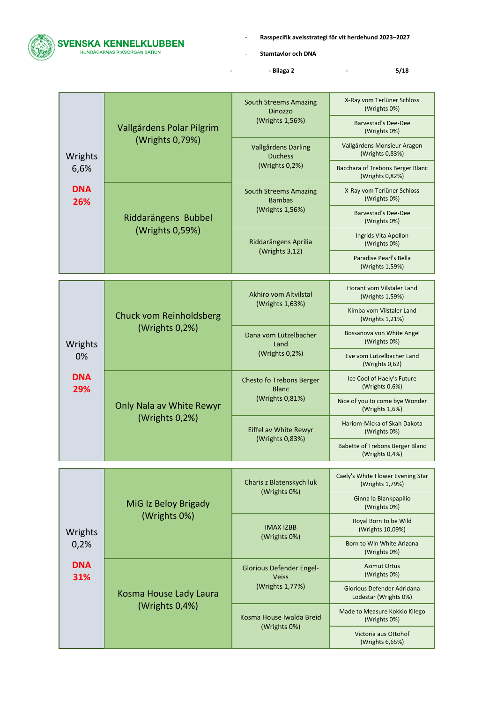

- **Stamtavlor och DNA**

**- - Bilaga 2 - 5/18**

|                   | Vallgårdens Polar Pilgrim                  | <b>South Streems Amazing</b><br>Dinozzo<br>(Wrights 1,56%)         | X-Ray vom Terlüner Schloss<br>(Wrights 0%)<br><b>Barvestad's Dee-Dee</b> |
|-------------------|--------------------------------------------|--------------------------------------------------------------------|--------------------------------------------------------------------------|
|                   | (Wrights 0,79%)                            | Vallgårdens Darling                                                | (Wrights 0%)<br>Vallgårdens Monsieur Aragon<br>(Wrights 0,83%)           |
| Wrights<br>6,6%   |                                            | <b>Duchess</b><br>(Wrights 0,2%)                                   | Bacchara of Trebons Berger Blanc<br>(Wrights 0,82%)                      |
| <b>DNA</b><br>26% |                                            | <b>South Streems Amazing</b><br><b>Bambas</b>                      | X-Ray vom Terlüner Schloss<br>(Wrights 0%)                               |
|                   | Riddarängens Bubbel                        | (Wrights 1,56%)                                                    | <b>Barvestad's Dee-Dee</b><br>(Wrights 0%)                               |
|                   | (Wrights 0,59%)                            | Riddarängens Aprilia<br>(Wrights 3,12)                             | Ingrids Vita Apollon<br>(Wrights 0%)                                     |
|                   |                                            |                                                                    | Paradise Pearl's Bella<br>(Wrights 1,59%)                                |
|                   |                                            | Akhiro vom Altvilstal                                              | Horant vom Vilstaler Land<br>(Wrights 1,59%)                             |
|                   | Chuck vom Reinholdsberg<br>(Wrights 0,2%)  | (Wrights 1,63%)                                                    | Kimba vom Vilstaler Land<br>(Wrights 1,21%)                              |
| Wrights           |                                            | Dana vom Lützelbacher<br>Land<br>(Wrights 0,2%)                    | Bossanova von White Angel<br>(Wrights 0%)                                |
| 0%                |                                            |                                                                    | Eve vom Lützelbacher Land<br>(Wrights 0,62)                              |
| <b>DNA</b><br>29% | Only Nala av White Rewyr<br>(Wrights 0,2%) | <b>Chesto fo Trebons Berger</b><br><b>Blanc</b><br>(Wrights 0,81%) | Ice Cool of Haely's Future<br>(Wrights $0,6%$ )                          |
|                   |                                            |                                                                    | Nice of you to come bye Wonder<br>(Wrights $1,6\%$ )                     |
|                   |                                            | Eiffel av White Rewyr<br>(Wrights 0,83%)                           | Hariom-Micka of Skah Dakota<br>(Wrights 0%)                              |
|                   |                                            |                                                                    | <b>Babette of Trebons Berger Blanc</b><br>(Wrights $0,4%$ )              |
|                   |                                            | Charis z Blatenskych luk<br>(Wrights 0%)                           | Caely's White Flower Evening Star<br>(Wrights 1,79%)                     |
|                   | MiG Iz Beloy Brigady                       |                                                                    | Ginna la Blankpapilio<br>(Wrights 0%)                                    |
| Wrights           | (Wrights 0%)                               | <b>IMAX IZBB</b>                                                   | Royal Born to be Wild<br>(Wrights 10,09%)                                |
| 0,2%              |                                            | (Wrights 0%)                                                       | Born to Win White Arizona<br>(Wrights 0%)                                |
| <b>DNA</b><br>31% |                                            | <b>Glorious Defender Engel-</b><br><b>Veiss</b>                    | <b>Azimut Ortus</b><br>(Wrights 0%)                                      |
|                   | Kosma House Lady Laura                     | (Wrights 1,77%)                                                    | Glorious Defender Adridana<br>Lodestar (Wrights 0%)                      |
|                   | (Wrights 0,4%)                             | Kosma House Iwalda Breid<br>(Wrights 0%)                           | Made to Measure Kokkio Kilego<br>(Wrights 0%)                            |
|                   |                                            |                                                                    | Victoria aus Ottohof<br>(Wrights 6,65%)                                  |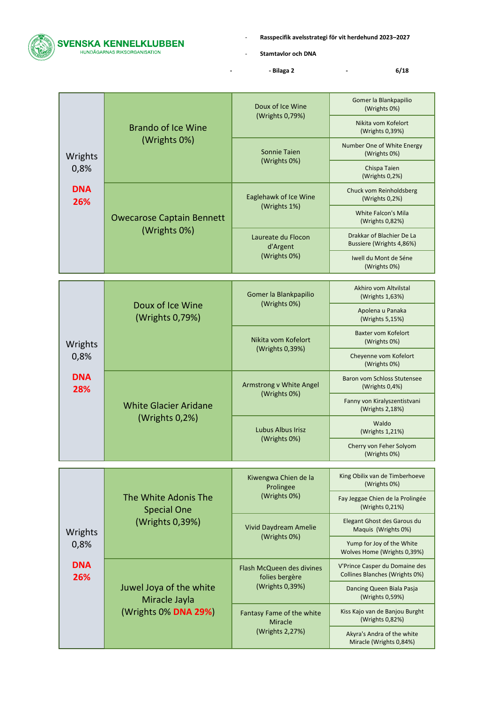

- **Stamtavlor och DNA**

**- - Bilaga 2 - 6/18**

|                   | <b>Brando of Ice Wine</b>                      | Doux of Ice Wine                                      | Gomer la Blankpapilio<br>(Wrights 0%)                            |
|-------------------|------------------------------------------------|-------------------------------------------------------|------------------------------------------------------------------|
|                   |                                                | (Wrights 0,79%)                                       | Nikita vom Kofelort<br>(Wrights 0,39%)                           |
| Wrights           | (Wrights 0%)                                   | <b>Sonnie Taien</b><br>(Wrights 0%)                   | Number One of White Energy<br>(Wrights 0%)                       |
| 0,8%              |                                                |                                                       | Chispa Taien<br>(Wrights 0,2%)                                   |
| <b>DNA</b><br>26% |                                                | Eaglehawk of Ice Wine                                 | Chuck vom Reinholdsberg<br>(Wrights $0,2%$ )                     |
|                   | <b>Owecarose Captain Bennett</b>               | (Wrights 1%)                                          | <b>White Falcon's Mila</b><br>(Wrights 0,82%)                    |
|                   | (Wrights 0%)                                   | Laureate du Flocon<br>d'Argent                        | Drakkar of Blachier De La<br>Bussiere (Wrights 4,86%)            |
|                   |                                                | (Wrights 0%)                                          | Iwell du Mont de Séne<br>(Wrights 0%)                            |
|                   |                                                |                                                       |                                                                  |
|                   |                                                | Gomer la Blankpapilio<br>(Wrights 0%)                 | Akhiro vom Altvilstal<br>(Wrights 1,63%)                         |
|                   | Doux of Ice Wine<br>(Wrights 0,79%)            |                                                       | Apolena u Panaka<br>(Wrights 5,15%)                              |
| Wrights           |                                                | Nikita vom Kofelort<br>(Wrights 0,39%)                | Baxter vom Kofelort<br>(Wrights 0%)                              |
| 0,8%              |                                                |                                                       | Cheyenne vom Kofelort<br>(Wrights 0%)                            |
| <b>DNA</b><br>28% | <b>White Glacier Aridane</b><br>(Wrights 0,2%) | Armstrong v White Angel<br>(Wrights 0%)               | Baron vom Schloss Stutensee<br>(Wrights 0,4%)                    |
|                   |                                                |                                                       | Fanny von Kiralyszentistvani<br>(Wrights 2,18%)                  |
|                   |                                                | Lubus Albus Irisz<br>(Wrights 0%)                     | Waldo<br>(Wrights 1,21%)                                         |
|                   |                                                |                                                       | Cherry von Feher Solyom<br>(Wrights 0%)                          |
|                   |                                                |                                                       |                                                                  |
|                   |                                                | Kiwengwa Chien de la<br>Prolingee                     | King Obilix van de Timberhoeve<br>(Wrights 0%)                   |
|                   | The White Adonis The<br><b>Special One</b>     | (Wrights 0%)                                          | Fay Jeggae Chien de la Prolingée<br>(Wrights 0,21%)              |
| Wrights           | (Wrights 0,39%)                                | Vivid Daydream Amelie                                 | Elegant Ghost des Garous du<br>Maquis (Wrights 0%)               |
| 0,8%              |                                                | (Wrights 0%)                                          | Yump for Joy of the White<br>Wolves Home (Wrights 0,39%)         |
| <b>DNA</b><br>26% |                                                | Flash McQueen des divines<br>folies bergère           | V'Prince Casper du Domaine des<br>Collines Blanches (Wrights 0%) |
|                   | Juwel Joya of the white<br>Miracle Jayla       | (Wrights 0,39%)                                       | Dancing Queen Biala Pasja<br>(Wrights 0,59%)                     |
|                   | (Wrights 0% DNA 29%)                           | Fantasy Fame of the white<br><b>Miracle</b>           | Kiss Kajo van de Banjou Burght<br>(Wrights 0,82%)                |
|                   | (Wrights 2,27%)                                | Akyra's Andra of the white<br>Miracle (Wrights 0,84%) |                                                                  |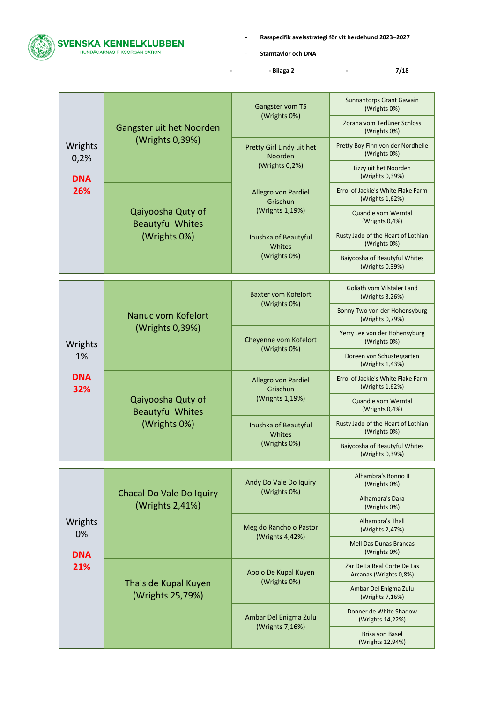

- **Stamtavlor och DNA**

**- - Bilaga 2 - 7/18**

|                   | Gangster uit het Noorden                                     | Gangster vom TS                                | <b>Sunnantorps Grant Gawain</b><br>(Wrights 0%)       |
|-------------------|--------------------------------------------------------------|------------------------------------------------|-------------------------------------------------------|
|                   |                                                              | (Wrights 0%)                                   | Zorana vom Terlüner Schloss<br>(Wrights 0%)           |
| Wrights<br>0,2%   | (Wrights 0,39%)                                              | Pretty Girl Lindy uit het<br>Noorden           | Pretty Boy Finn von der Nordhelle<br>(Wrights 0%)     |
| <b>DNA</b>        |                                                              | (Wrights 0,2%)                                 | Lizzy uit het Noorden<br>(Wrights 0,39%)              |
| 26%               |                                                              | Allegro von Pardiel<br>Grischun                | Errol of Jackie's White Flake Farm<br>(Wrights 1,62%) |
|                   | Qaiyoosha Quty of<br><b>Beautyful Whites</b>                 | (Wrights 1,19%)                                | Quandie vom Werntal<br>(Wrights $0,4%$ )              |
|                   | (Wrights 0%)                                                 | Inushka of Beautyful<br>Whites                 | Rusty Jado of the Heart of Lothian<br>(Wrights 0%)    |
|                   |                                                              | (Wrights 0%)                                   | Baiyoosha of Beautyful Whites<br>(Wrights 0,39%)      |
|                   |                                                              |                                                |                                                       |
|                   |                                                              | <b>Baxter vom Kofelort</b><br>(Wrights 0%)     | Goliath vom Vilstaler Land<br>(Wrights 3,26%)         |
|                   | Nanuc vom Kofelort<br>(Wrights 0,39%)                        |                                                | Bonny Two von der Hohensyburg<br>(Wrights 0,79%)      |
| Wrights           |                                                              | Cheyenne vom Kofelort<br>(Wrights 0%)          | Yerry Lee von der Hohensyburg<br>(Wrights 0%)         |
| 1%                |                                                              |                                                | Doreen von Schustergarten<br>(Wrights 1,43%)          |
| <b>DNA</b><br>32% |                                                              | Allegro von Pardiel<br>Grischun                | Errol of Jackie's White Flake Farm<br>(Wrights 1,62%) |
|                   | Qaiyoosha Quty of<br><b>Beautyful Whites</b><br>(Wrights 0%) | (Wrights 1,19%)                                | Quandie vom Werntal<br>(Wrights 0,4%)                 |
|                   |                                                              | Inushka of Beautyful<br>Whites<br>(Wrights 0%) | Rusty Jado of the Heart of Lothian<br>(Wrights 0%)    |
|                   |                                                              |                                                | Baiyoosha of Beautyful Whites<br>(Wrights 0,39%)      |
|                   |                                                              |                                                |                                                       |
|                   |                                                              | Andy Do Vale Do Iquiry<br>(Wrights 0%)         | Alhambra's Bonno II<br>(Wrights 0%)                   |
|                   | Chacal Do Vale Do Iquiry<br>(Wrights 2,41%)                  |                                                | Alhambra's Dara<br>(Wrights 0%)                       |
| Wrights<br>0%     |                                                              | Meg do Rancho o Pastor                         | Alhambra's Thall<br>(Wrights 2,47%)                   |
| <b>DNA</b>        |                                                              | (Wrights 4,42%)                                | <b>Mell Das Dunas Brancas</b><br>(Wrights 0%)         |
| 21%               |                                                              | Apolo De Kupal Kuyen                           | Zar De La Real Corte De Las<br>Arcanas (Wrights 0,8%) |
|                   | Thais de Kupal Kuyen<br>(Wrights 25,79%)                     | (Wrights 0%)                                   | Ambar Del Enigma Zulu<br>(Wrights 7,16%)              |
|                   |                                                              | Ambar Del Enigma Zulu<br>(Wrights 7,16%)       | Donner de White Shadow<br>(Wrights 14,22%)            |
|                   |                                                              |                                                | Brisa von Basel<br>(Wrights 12,94%)                   |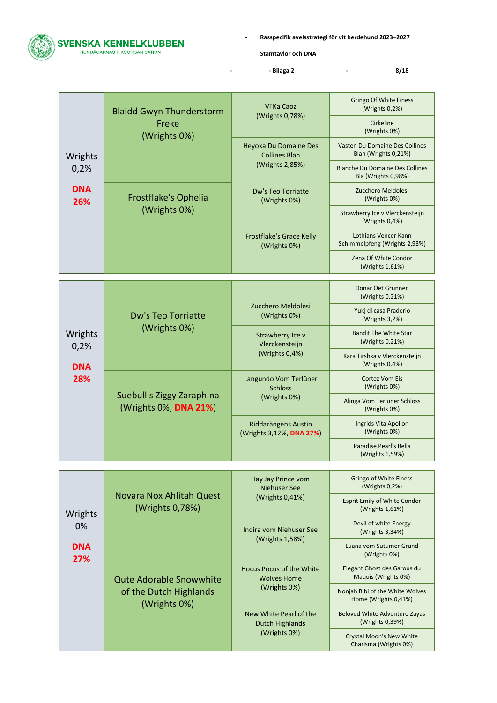

- **Stamtavlor och DNA**

**- - Bilaga 2 - 8/18**

| Wrights           | <b>Blaidd Gwyn Thunderstorm</b><br>Freke<br>(Wrights 0%) | Vi'Ka Caoz<br>(Wrights 0,78%)                   | <b>Gringo Of White Finess</b><br>(Wrights 0,2%)               |
|-------------------|----------------------------------------------------------|-------------------------------------------------|---------------------------------------------------------------|
|                   |                                                          |                                                 | Cirkeline<br>(Wrights 0%)                                     |
|                   |                                                          | Heyoka Du Domaine Des<br><b>Collines Blan</b>   | Vasten Du Domaine Des Collines<br>Blan (Wrights 0,21%)        |
| 0,2%              |                                                          | (Wrights 2,85%)                                 | <b>Blanche Du Domaine Des Collines</b><br>Bla (Wrights 0,98%) |
| <b>DNA</b><br>26% | Frostflake's Ophelia<br>(Wrights 0%)                     | Dw's Teo Torriatte<br>(Wrights 0%)              | Zucchero Meldolesi<br>(Wrights 0%)                            |
|                   |                                                          |                                                 | Strawberry Ice v Vlerckensteijn<br>(Wrights $0,4%$ )          |
|                   |                                                          | <b>Frostflake's Grace Kelly</b><br>(Wrights 0%) | Lothians Vencer Kann<br>Schimmelpfeng (Wrights 2,93%)         |
|                   |                                                          |                                                 | Zena Of White Condor<br>(Wrights 1,61%)                       |
|                   |                                                          |                                                 |                                                               |
|                   |                                                          |                                                 | Donar Oet Grunnen                                             |

| Wrights<br>0,2% | Dw's Teo Torriatte<br>(Wrights 0%)                 | Zucchero Meldolesi<br>(Wrights 0%)                      | Donar Oet Grunnen<br>(Wrights 0,21%)                   |                                                    |
|-----------------|----------------------------------------------------|---------------------------------------------------------|--------------------------------------------------------|----------------------------------------------------|
|                 |                                                    |                                                         | Yukj di casa Praderio<br>(Wrights 3,2%)                |                                                    |
|                 |                                                    | Strawberry Ice v<br>Vlerckensteijn                      | <b>Bandit The White Star</b><br>(Wrights 0,21%)        |                                                    |
|                 | <b>DNA</b>                                         |                                                         | (Wrights $0,4%$ )                                      | Kara Tirshka v Vlerckensteijn<br>(Wrights $0,4%$ ) |
| 28%             | Suebull's Ziggy Zaraphina<br>(Wrights 0%, DNA 21%) | Langundo Vom Terlüner<br><b>Schloss</b><br>(Wrights 0%) | <b>Cortez Vom Eis</b><br>(Wrights 0%)                  |                                                    |
|                 |                                                    |                                                         | Alinga Vom Terlüner Schloss<br>(Wrights 0%)            |                                                    |
|                 |                                                    |                                                         | Riddarängens Austin<br>(Wrights 3,12%, <b>DNA 27%)</b> | Ingrids Vita Apollon<br>(Wrights 0%)               |
|                 |                                                    |                                                         |                                                        | Paradise Pearl's Bella<br>(Wrights 1,59%)          |

| Wrights<br>0%<br><b>DNA</b><br>27% | <b>Novara Nox Ahlitah Quest</b><br>(Wrights 0,78%)                       | Hay Jay Prince vom<br>Niehuser See<br>(Wrights $0,41\%$ )      | <b>Gringo of White Finess</b><br>(Wrights $0.2\%$ )      |
|------------------------------------|--------------------------------------------------------------------------|----------------------------------------------------------------|----------------------------------------------------------|
|                                    |                                                                          |                                                                | <b>Esprit Emily of White Condor</b><br>(Wrights 1,61%)   |
|                                    |                                                                          | Indira vom Niehuser See<br>(Wrights 1,58%)                     | Devil of white Energy<br>(Wrights 3,34%)                 |
|                                    |                                                                          |                                                                | Luana vom Sutumer Grund<br>(Wrights 0%)                  |
|                                    | <b>Qute Adorable Snowwhite</b><br>of the Dutch Highlands<br>(Wrights 0%) | Hocus Pocus of the White<br><b>Wolves Home</b><br>(Wrights 0%) | Elegant Ghost des Garous du<br>Maguis (Wrights 0%)       |
|                                    |                                                                          |                                                                | Nonjah Bibi of the White Wolves<br>Home (Wrights 0,41%)  |
|                                    |                                                                          | New White Pearl of the<br>Dutch Highlands<br>(Wrights 0%)      | Beloved White Adventure Zayas<br>(Wrights 0,39%)         |
|                                    |                                                                          |                                                                | <b>Crystal Moon's New White</b><br>Charisma (Wrights 0%) |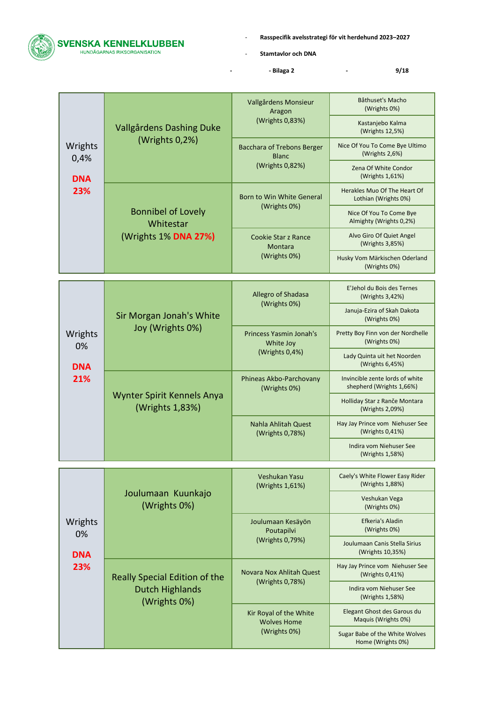

- **Stamtavlor och DNA**

**- - Bilaga 2 - 9/18**

|                 | Vallgårdens Dashing Duke                      | Vallgårdens Monsieur<br>Aragon<br>(Wrights 0,83%)            | Båthuset's Macho<br>(Wrights 0%)                            |
|-----------------|-----------------------------------------------|--------------------------------------------------------------|-------------------------------------------------------------|
|                 |                                               |                                                              | Kastanjebo Kalma<br>(Wrights 12,5%)                         |
| Wrights<br>0,4% | (Wrights 0,2%)                                | <b>Bacchara of Trebons Berger</b><br><b>Blanc</b>            | Nice Of You To Come Bye Ultimo<br>(Wrights $2,6\%$ )        |
| <b>DNA</b>      |                                               | (Wrights 0,82%)                                              | Zena Of White Condor<br>(Wrights 1,61%)                     |
| 23%             |                                               | Born to Win White General<br>(Wrights 0%)                    | Herakles Muo Of The Heart Of<br>Lothian (Wrights 0%)        |
|                 | <b>Bonnibel of Lovely</b><br>Whitestar        |                                                              | Nice Of You To Come Bye<br>Almighty (Wrights 0,2%)          |
|                 | (Wrights 1% DNA 27%)                          | <b>Cookie Star z Rance</b><br><b>Montara</b>                 | Alvo Giro Of Quiet Angel<br>(Wrights 3,85%)                 |
|                 |                                               | (Wrights 0%)                                                 | Husky Vom Märkischen Oderland<br>(Wrights 0%)               |
|                 |                                               | Allegro of Shadasa                                           | E'Jehol du Bois des Ternes<br>(Wrights 3,42%)               |
|                 | Sir Morgan Jonah's White<br>Joy (Wrights 0%)  | (Wrights 0%)                                                 | Januja-Ezira of Skah Dakota<br>(Wrights 0%)                 |
| Wrights<br>0%   |                                               | Princess Yasmin Jonah's<br>White Joy<br>(Wrights 0,4%)       | Pretty Boy Finn von der Nordhelle<br>(Wrights 0%)           |
| <b>DNA</b>      |                                               |                                                              | Lady Quinta uit het Noorden<br>(Wrights 6,45%)              |
| 21%             | Wynter Spirit Kennels Anya<br>(Wrights 1,83%) | Phineas Akbo-Parchovany<br>(Wrights 0%)                      | Invincible zente lords of white<br>shepherd (Wrights 1,66%) |
|                 |                                               |                                                              | Holliday Star z Ranče Montara<br>(Wrights 2,09%)            |
|                 |                                               | Nahla Ahlitah Quest<br>(Wrights 0,78%)                       | Hay Jay Prince vom Niehuser See<br>(Wrights 0,41%)          |
|                 |                                               |                                                              | Indira vom Niehuser See<br>(Wrights 1,58%)                  |
|                 |                                               | Veshukan Yasu<br>(Wrights 1,61%)                             | Caely's White Flower Easy Rider<br>(Wrights 1,88%)          |
|                 | Joulumaan Kuunkajo<br>(Wrights 0%)            |                                                              | Veshukan Vega<br>(Wrights 0%)                               |
| Wrights<br>0%   |                                               | Joulumaan Kesäyön<br>Poutapilvi                              | Efkeria's Aladin<br>(Wrights 0%)                            |
| <b>DNA</b>      |                                               | (Wrights 0,79%)                                              | Joulumaan Canis Stella Sirius<br>(Wrights 10,35%)           |
| 23%             | Really Special Edition of the                 | Novara Nox Ahlitah Quest                                     | Hay Jay Prince vom Niehuser See<br>(Wrights $0,41\%$ )      |
|                 | <b>Dutch Highlands</b><br>(Wrights 0%)        | (Wrights 0,78%)                                              | Indira vom Niehuser See<br>(Wrights 1,58%)                  |
|                 |                                               | Kir Royal of the White<br><b>Wolves Home</b><br>(Wrights 0%) | Elegant Ghost des Garous du<br>Maquis (Wrights 0%)          |
|                 |                                               |                                                              | Sugar Babe of the White Wolves<br>Home (Wrights 0%)         |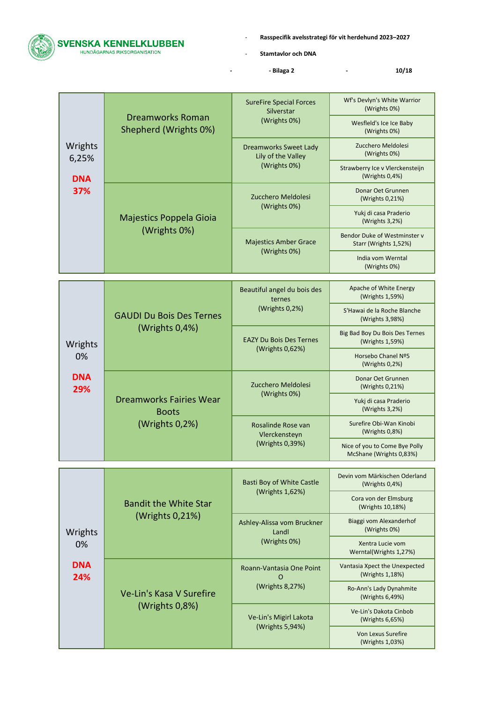

- **Stamtavlor och DNA**

**- - Bilaga 2 - 10/18**

|                   | <b>Dreamworks Roman</b><br>Shepherd (Wrights 0%)                 | <b>SureFire Special Forces</b><br>Silverstar<br>(Wrights 0%) | Wf's Devlyn's White Warrior<br>(Wrights 0%)              |
|-------------------|------------------------------------------------------------------|--------------------------------------------------------------|----------------------------------------------------------|
|                   |                                                                  |                                                              | Wesfleld's Ice Ice Baby<br>(Wrights 0%)                  |
| Wrights<br>6,25%  |                                                                  | <b>Dreamworks Sweet Lady</b><br>Lily of the Valley           | Zucchero Meldolesi<br>(Wrights 0%)                       |
| <b>DNA</b>        |                                                                  | (Wrights 0%)                                                 | Strawberry Ice v Vlerckensteijn<br>(Wrights 0,4%)        |
| 37%               |                                                                  | Zucchero Meldolesi<br>(Wrights 0%)                           | Donar Oet Grunnen<br>(Wrights 0,21%)                     |
|                   | Majestics Poppela Gioia                                          |                                                              | Yukj di casa Praderio<br>(Wrights 3,2%)                  |
|                   | (Wrights 0%)                                                     | <b>Majestics Amber Grace</b><br>(Wrights 0%)                 | Bendor Duke of Westminster v<br>Starr (Wrights 1,52%)    |
|                   |                                                                  |                                                              | India vom Werntal<br>(Wrights 0%)                        |
|                   |                                                                  | Beautiful angel du bois des                                  | Apache of White Energy<br>(Wrights 1,59%)                |
|                   | <b>GAUDI Du Bois Des Ternes</b><br>(Wrights 0,4%)                | ternes<br>(Wrights 0,2%)                                     | S'Hawai de la Roche Blanche<br>(Wrights 3,98%)           |
| Wrights           |                                                                  | <b>EAZY Du Bois Des Ternes</b><br>(Wrights 0,62%)            | Big Bad Boy Du Bois Des Ternes<br>(Wrights 1,59%)        |
| 0%                |                                                                  |                                                              | Horsebo Chanel Nº5<br>(Wrights 0,2%)                     |
| <b>DNA</b><br>29% | <b>Dreamworks Fairies Wear</b><br><b>Boots</b><br>(Wrights 0,2%) | Zucchero Meldolesi<br>(Wrights 0%)                           | Donar Oet Grunnen<br>(Wrights 0,21%)                     |
|                   |                                                                  |                                                              | Yukj di casa Praderio<br>(Wrights 3,2%)                  |
|                   |                                                                  | Rosalinde Rose van<br>Vlerckensteyn<br>(Wrights 0,39%)       | Surefire Obi-Wan Kinobi<br>(Wrights 0,8%)                |
|                   |                                                                  |                                                              | Nice of you to Come Bye Polly<br>McShane (Wrights 0,83%) |
|                   |                                                                  | <b>Basti Boy of White Castle</b>                             | Devin vom Märkischen Oderland<br>(Wrights 0,4%)          |
|                   | <b>Bandit the White Star</b>                                     | (Wrights 1,62%)                                              | Cora von der Elmsburg<br>(Wrights 10,18%)                |
| Wrights           | (Wrights 0,21%)                                                  | Ashley-Alissa vom Bruckner<br>Landl                          | Biaggi vom Alexanderhof<br>(Wrights 0%)                  |
| 0%                |                                                                  | (Wrights 0%)                                                 | Xentra Lucie vom<br>Werntal(Wrights 1,27%)               |
| <b>DNA</b><br>24% |                                                                  | Roann-Vantasia One Point<br>$\Omega$                         | Vantasia Xpect the Unexpected<br>(Wrights 1,18%)         |
|                   | Ve-Lin's Kasa V Surefire                                         | (Wrights 8,27%)                                              | Ro-Ann's Lady Dynahmite<br>(Wrights 6,49%)               |
|                   | (Wrights 0,8%)                                                   | Ve-Lin's Migirl Lakota<br>(Wrights 5,94%)                    | Ve-Lin's Dakota Cinbob<br>(Wrights 6,65%)                |
|                   |                                                                  |                                                              | <b>Von Lexus Surefire</b><br>(Wrights 1,03%)             |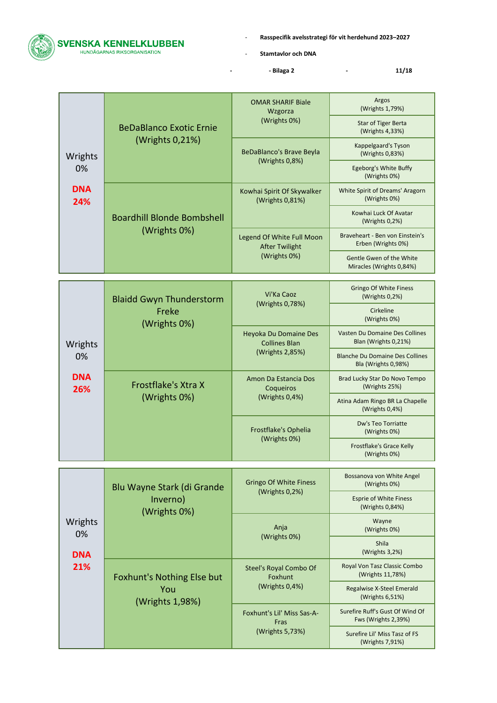

- **Stamtavlor och DNA**

**- - Bilaga 2 - 11/18**

|                   |                                                          | <b>OMAR SHARIF Biale</b><br>Wzgorza                              | Argos<br>(Wrights 1,79%)                                      |
|-------------------|----------------------------------------------------------|------------------------------------------------------------------|---------------------------------------------------------------|
|                   | <b>BeDaBlanco Exotic Ernie</b>                           | (Wrights 0%)                                                     | Star of Tiger Berta<br>(Wrights 4,33%)                        |
| Wrights           | (Wrights 0,21%)                                          | <b>BeDaBlanco's Brave Beyla</b><br>(Wrights 0,8%)                | Kappelgaard's Tyson<br>(Wrights 0,83%)                        |
| 0%                |                                                          |                                                                  | Egeborg's White Buffy<br>(Wrights 0%)                         |
| <b>DNA</b><br>24% |                                                          | Kowhai Spirit Of Skywalker<br>(Wrights 0,81%)                    | White Spirit of Dreams' Aragorn<br>(Wrights 0%)               |
|                   | <b>Boardhill Blonde Bombshell</b>                        |                                                                  | Kowhai Luck Of Avatar<br>(Wrights $0,2%$ )                    |
|                   | (Wrights 0%)                                             | Legend Of White Full Moon<br><b>After Twilight</b>               | Braveheart - Ben von Einstein's<br>Erben (Wrights 0%)         |
|                   |                                                          | (Wrights 0%)                                                     | Gentle Gwen of the White<br>Miracles (Wrights 0,84%)          |
|                   |                                                          |                                                                  |                                                               |
|                   | <b>Blaidd Gwyn Thunderstorm</b><br>Freke<br>(Wrights 0%) | Vi'Ka Caoz<br>(Wrights 0,78%)                                    | <b>Gringo Of White Finess</b><br>(Wrights 0,2%)               |
|                   |                                                          |                                                                  | Cirkeline<br>(Wrights 0%)                                     |
| Wrights           |                                                          | Heyoka Du Domaine Des<br><b>Collines Blan</b><br>(Wrights 2,85%) | Vasten Du Domaine Des Collines<br>Blan (Wrights 0,21%)        |
| 0%                |                                                          |                                                                  | <b>Blanche Du Domaine Des Collines</b><br>Bla (Wrights 0,98%) |
| <b>DNA</b><br>26% | Frostflake's Xtra X<br>(Wrights 0%)                      | Amon Da Estancia Dos<br>Coqueiros<br>(Wrights 0,4%)              | Brad Lucky Star Do Novo Tempo<br>(Wrights 25%)                |
|                   |                                                          |                                                                  | Atina Adam Ringo BR La Chapelle<br>(Wrights 0,4%)             |
|                   |                                                          | Frostflake's Ophelia<br>(Wrights 0%)                             | Dw's Teo Torriatte<br>(Wrights 0%)                            |
|                   |                                                          |                                                                  | Frostflake's Grace Kelly<br>(Wrights 0%)                      |
|                   |                                                          |                                                                  |                                                               |
|                   | Blu Wayne Stark (di Grande                               | <b>Gringo Of White Finess</b><br>(Wrights 0,2%)                  | Bossanova von White Angel<br>(Wrights 0%)                     |
| Wrights<br>0%     | Inverno)<br>(Wrights 0%)                                 |                                                                  | <b>Esprie of White Finess</b><br>(Wrights 0,84%)              |
|                   |                                                          | Anja<br>(Wrights 0%)                                             | Wayne<br>(Wrights 0%)                                         |
| <b>DNA</b>        |                                                          |                                                                  | <b>Shila</b><br>(Wrights 3,2%)                                |
| 21%               | Foxhunt's Nothing Else but                               | Steel's Royal Combo Of<br>Foxhunt                                | Royal Von Tasz Classic Combo<br>(Wrights 11,78%)              |

(Wrights 0,4%)

Foxhunt's Lil' Miss Sas-A-Fras (Wrights 5,73%)

Surefire Ruff's Gust Of Wind Of Fws (Wrights 2,39%)

Surefire Lil' Miss Tasz of FS (Wrights 7,91%)

Regalwise X-Steel Emerald (Wrights 6,51%)

You (Wrights 1,98%)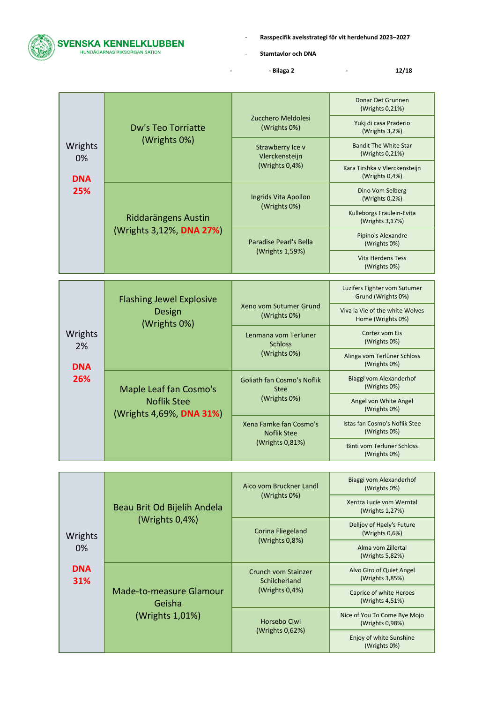- **Stamtavlor och DNA**

**- - Bilaga 2 - 12/18**

|               | <b>Dw's Teo Torriatte</b><br>(Wrights 0%)       | Zucchero Meldolesi<br>(Wrights 0%)                      | Donar Oet Grunnen<br>(Wrights 0,21%)            |
|---------------|-------------------------------------------------|---------------------------------------------------------|-------------------------------------------------|
|               |                                                 |                                                         | Yukj di casa Praderio<br>(Wrights 3,2%)         |
| Wrights<br>0% |                                                 | Strawberry Ice v<br>Vlerckensteijn<br>(Wrights $0,4%$ ) | <b>Bandit The White Star</b><br>(Wrights 0,21%) |
| <b>DNA</b>    |                                                 |                                                         | Kara Tirshka v Vlerckensteijn<br>(Wrights 0,4%) |
| 25%           | Riddarängens Austin<br>(Wrights 3,12%, DNA 27%) | Ingrids Vita Apollon<br>(Wrights 0%)                    | Dino Vom Selberg<br>(Wrights 0,2%)              |
|               |                                                 |                                                         | Kulleborgs Fräulein-Evita<br>(Wrights 3,17%)    |
|               |                                                 | Paradise Pearl's Bella<br>(Wrights 1,59%)               | Pipino's Alexandre<br>(Wrights 0%)              |
|               |                                                 |                                                         | <b>Vita Herdens Tess</b><br>(Wrights 0%)        |

|               | <b>Flashing Jewel Explosive</b><br>Design<br>(Wrights 0%)                | Xeno vom Sutumer Grund<br>(Wrights 0%)                              | Luzifers Fighter vom Sutumer<br>Grund (Wrights 0%)   |
|---------------|--------------------------------------------------------------------------|---------------------------------------------------------------------|------------------------------------------------------|
|               |                                                                          |                                                                     | Viva la Vie of the white Wolves<br>Home (Wrights 0%) |
| Wrights<br>2% |                                                                          | Lenmana vom Terluner<br><b>Schloss</b><br>(Wrights 0%)              | Cortez vom Eis<br>(Wrights 0%)                       |
| <b>DNA</b>    |                                                                          |                                                                     | Alinga vom Terlüner Schloss<br>(Wrights 0%)          |
| 26%           | Maple Leaf fan Cosmo's<br><b>Noflik Stee</b><br>(Wrights 4,69%, DNA 31%) | <b>Goliath fan Cosmo's Noflik</b><br><b>Stee</b><br>(Wrights 0%)    | Biaggi vom Alexanderhof<br>(Wrights 0%)              |
|               |                                                                          |                                                                     | Angel von White Angel<br>(Wrights 0%)                |
|               |                                                                          | Xena Famke fan Cosmo's<br><b>Noflik Stee</b><br>(Wrights $0.81\%$ ) | Istas fan Cosmo's Noflik Stee<br>(Wrights 0%)        |
|               |                                                                          |                                                                     | <b>Binti vom Terluner Schloss</b><br>(Wrights 0%)    |

|                   |                                                      | Aico vom Bruckner Landl<br>(Wrights 0%)                   | Biaggi vom Alexanderhof<br>(Wrights 0%)         |
|-------------------|------------------------------------------------------|-----------------------------------------------------------|-------------------------------------------------|
|                   | Beau Brit Od Bijelih Andela                          |                                                           | Xentra Lucie vom Werntal<br>(Wrights 1,27%)     |
| Wrights           | $(W$ rights $0,4%$                                   | Corina Fliegeland                                         | Delljoy of Haely's Future<br>(Wrights 0,6%)     |
| 0%                |                                                      | (Wrights $0.8\%$ )                                        | Alma vom Zillertal<br>(Wrights 5,82%)           |
| <b>DNA</b><br>31% | Made-to-measure Glamour<br>Geisha<br>(Wrights 1,01%) | Crunch vom Stainzer<br>Schilcherland<br>(Wrights $0,4%$ ) | Alvo Giro of Quiet Angel<br>(Wrights 3,85%)     |
|                   |                                                      |                                                           | Caprice of white Heroes<br>(Wrights 4,51%)      |
|                   |                                                      | Horsebo Ciwi<br>(Wrights 0,62%)                           | Nice of You To Come Bye Mojo<br>(Wrights 0,98%) |
|                   |                                                      |                                                           | Enjoy of white Sunshine<br>(Wrights 0%)         |



**The Community** 

T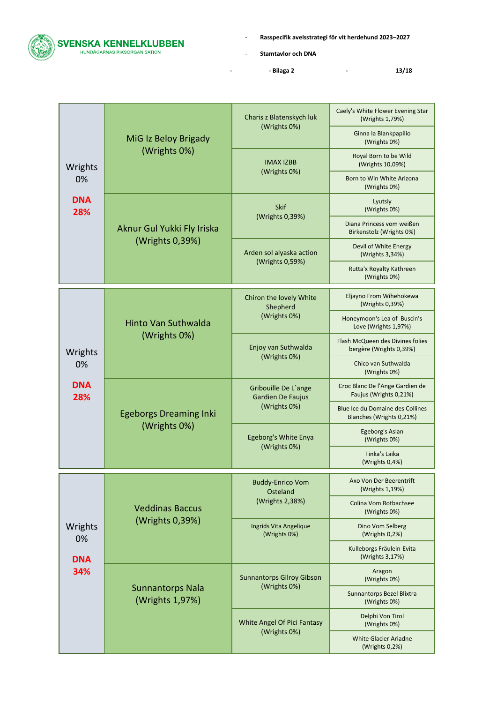

- **Stamtavlor och DNA**

**- - Bilaga 2 - 13/18**

|                   | MiG Iz Beloy Brigady                          | Charis z Blatenskych luk                                  | Caely's White Flower Evening Star<br>(Wrights 1,79%)         |
|-------------------|-----------------------------------------------|-----------------------------------------------------------|--------------------------------------------------------------|
|                   |                                               | (Wrights 0%)                                              | Ginna la Blankpapilio<br>(Wrights 0%)                        |
| Wrights           | (Wrights 0%)                                  | <b>IMAX IZBB</b>                                          | Royal Born to be Wild<br>(Wrights 10,09%)                    |
| 0%                |                                               | (Wrights 0%)                                              | Born to Win White Arizona<br>(Wrights 0%)                    |
| <b>DNA</b><br>28% |                                               | <b>Skif</b><br>(Wrights 0,39%)                            | Lyutsiy<br>(Wrights 0%)                                      |
|                   | Aknur Gul Yukki Fly Iriska                    |                                                           | Diana Princess vom weißen<br>Birkenstolz (Wrights 0%)        |
|                   | (Wrights 0,39%)                               | Arden sol alyaska action                                  | Devil of White Energy<br>(Wrights 3,34%)                     |
|                   |                                               | (Wrights 0,59%)                                           | Rutta'x Royalty Kathreen<br>(Wrights 0%)                     |
|                   |                                               | Chiron the lovely White<br>Shepherd                       | Eljayno From Wihehokewa<br>(Wrights 0,39%)                   |
|                   | <b>Hinto Van Suthwalda</b><br>(Wrights 0%)    | (Wrights 0%)                                              | Honeymoon's Lea of Buscin's<br>Love (Wrights 1,97%)          |
| Wrights           |                                               | Enjoy van Suthwalda<br>(Wrights 0%)                       | Flash McQueen des Divines folies<br>bergère (Wrights 0,39%)  |
| 0%                |                                               |                                                           | Chico van Suthwalda<br>(Wrights 0%)                          |
| <b>DNA</b><br>28% | <b>Egeborgs Dreaming Inki</b><br>(Wrights 0%) | Gribouille De L'ange<br>Gardien De Faujus<br>(Wrights 0%) | Croc Blanc De l'Ange Gardien de<br>Faujus (Wrights 0,21%)    |
|                   |                                               |                                                           | Blue Ice du Domaine des Collines<br>Blanches (Wrights 0,21%) |
|                   |                                               | Egeborg's White Enya<br>(Wrights 0%)                      | Egeborg's Aslan<br>(Wrights 0%)                              |
|                   |                                               |                                                           | Tinka's Laika<br>(Wrights $0,4%$ )                           |
|                   |                                               | <b>Buddy-Enrico Vom</b><br>Osteland                       | Axo Von Der Beerentrift<br>(Wrights 1,19%)                   |
|                   | <b>Veddinas Baccus</b>                        | (Wrights 2,38%)                                           | Colina Vom Rotbachsee<br>(Wrights 0%)                        |
| Wrights<br>0%     | (Wrights 0,39%)                               | Ingrids Vita Angelique<br>(Wrights 0%)                    | Dino Vom Selberg<br>(Wrights 0,2%)                           |
| <b>DNA</b><br>34% |                                               |                                                           | Kulleborgs Fräulein-Evita<br>(Wrights 3,17%)                 |
|                   |                                               | Sunnantorps Gilroy Gibson                                 | Aragon<br>(Wrights 0%)                                       |
|                   | <b>Sunnantorps Nala</b><br>(Wrights 1,97%)    | (Wrights 0%)                                              | Sunnantorps Bezel Blixtra<br>(Wrights 0%)                    |
|                   |                                               | White Angel Of Pici Fantasy<br>(Wrights 0%)               | Delphi Von Tirol<br>(Wrights 0%)                             |
|                   |                                               |                                                           | <b>White Glacier Ariadne</b><br>(Wrights $0,2%$ )            |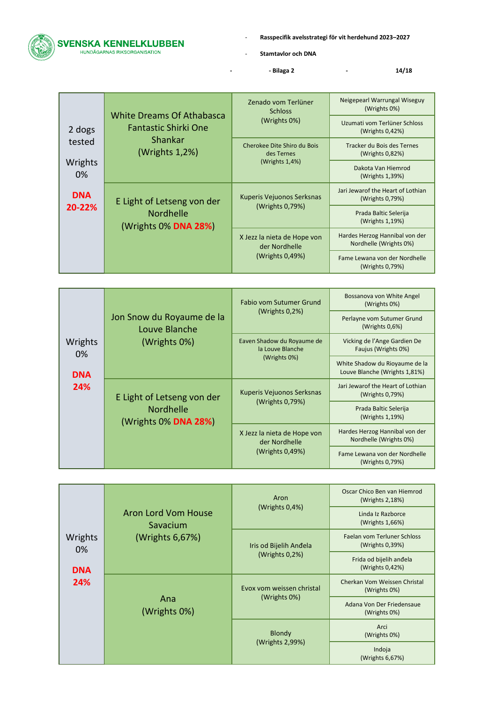

- **Stamtavlor och DNA**

**- - Bilaga 2 - 14/18**

|                            |                                                                                              | Zenado vom Terlüner<br><b>Schloss</b>                           | Neigepearl Warrungal Wiseguy<br>(Wrights 0%)             |
|----------------------------|----------------------------------------------------------------------------------------------|-----------------------------------------------------------------|----------------------------------------------------------|
| 2 dogs                     | <b>White Dreams Of Athabasca</b><br><b>Fantastic Shirki One</b><br>Shankar<br>(Wrights 1,2%) | (Wrights 0%)                                                    | Uzumati vom Terlüner Schloss<br>(Wrights 0,42%)          |
| tested<br>Wrights<br>$0\%$ |                                                                                              | Cherokee Dite Shiro du Bois<br>des Ternes<br>(Wrights 1,4%)     | Tracker du Bois des Ternes<br>(Wrights 0,82%)            |
|                            |                                                                                              |                                                                 | Dakota Van Hiemrod<br>(Wrights 1,39%)                    |
| <b>DNA</b>                 | E Light of Letseng von der                                                                   | Kuperis Vejuonos Serksnas                                       | Jari Jewarof the Heart of Lothian<br>(Wrights 0,79%)     |
|                            | 20-22%<br><b>Nordhelle</b><br>(Wrights 0% DNA 28%)                                           | (Wrights 0,79%)                                                 | Prada Baltic Selerija<br>(Wrights 1,19%)                 |
|                            |                                                                                              | X Jezz la nieta de Hope von<br>der Nordhelle<br>(Wrights 0,49%) | Hardes Herzog Hannibal von der<br>Nordhelle (Wrights 0%) |
|                            |                                                                                              |                                                                 | Fame Lewana von der Nordhelle<br>(Wrights 0,79%)         |

|                                    | Jon Snow du Royaume de la<br>Louve Blanche<br>(Wrights 0%)      | Fabio vom Sutumer Grund<br>(Wrights $0,2\%$ )                   | Bossanova von White Angel<br>(Wrights 0%)                       |
|------------------------------------|-----------------------------------------------------------------|-----------------------------------------------------------------|-----------------------------------------------------------------|
|                                    |                                                                 |                                                                 | Perlayne vom Sutumer Grund<br>(Wrights $0.6\%$ )                |
| Wrights<br>0%<br><b>DNA</b><br>24% |                                                                 | Eaven Shadow du Royaume de<br>la Louve Blanche                  | Vicking de l'Ange Gardien De<br>Faujus (Wrights 0%)             |
|                                    |                                                                 | (Wrights 0%)                                                    | White Shadow du Rioyaume de la<br>Louve Blanche (Wrights 1,81%) |
|                                    | E Light of Letseng von der<br>Nordhelle<br>(Wrights 0% DNA 28%) | Kuperis Vejuonos Serksnas<br>(Wrights 0,79%)                    | Jari Jewarof the Heart of Lothian<br>(Wrights 0,79%)            |
|                                    |                                                                 |                                                                 | Prada Baltic Selerija<br>(Wrights 1,19%)                        |
|                                    |                                                                 | X Jezz la nieta de Hope von<br>der Nordhelle<br>(Wrights 0,49%) | Hardes Herzog Hannibal von der<br>Nordhelle (Wrights 0%)        |
|                                    |                                                                 |                                                                 | Fame Lewana von der Nordhelle<br>(Wrights 0,79%)                |

|               | Aron Lord Vom House<br>Savacium<br>(Wrights 6,67%) | Aron<br>(Wrights $0,4%$ )                 | Oscar Chico Ben van Hiemrod<br>(Wrights 2,18%) |
|---------------|----------------------------------------------------|-------------------------------------------|------------------------------------------------|
|               |                                                    |                                           | Linda Iz Razborce<br>(Wrights 1,66%)           |
| Wrights<br>0% |                                                    | Iris od Bijelih Anđela                    | Faelan vom Terluner Schloss<br>(Wrights 0,39%) |
| <b>DNA</b>    |                                                    | (Wrights $0.2%$ )                         | Frida od bijelih anđela<br>(Wrights 0,42%)     |
| 24%           | Ana<br>(Wrights 0%)                                | Evox vom weissen christal<br>(Wrights 0%) | Cherkan Vom Weissen Christal<br>(Wrights 0%)   |
|               |                                                    |                                           | Adana Von Der Friedensaue<br>(Wrights 0%)      |
|               |                                                    | <b>Blondy</b><br>(Wrights 2,99%)          | Arci<br>(Wrights 0%)                           |
|               |                                                    |                                           | Indoja<br>(Wrights 6,67%)                      |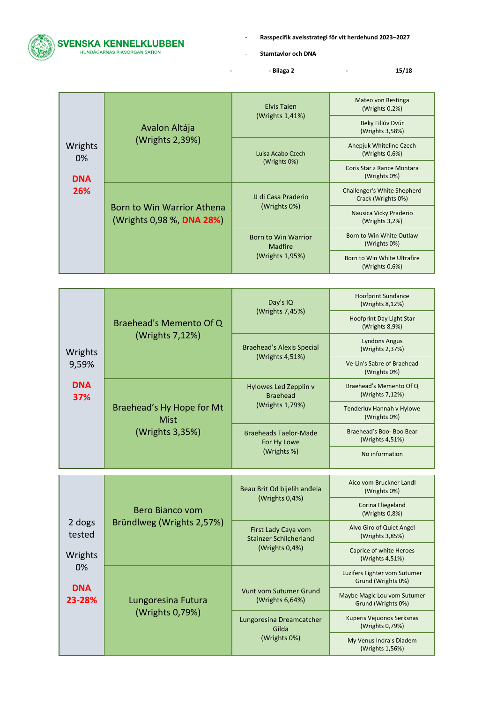

- **Stamtavlor och DNA**

**- - Bilaga 2 - 15/18**

|               |                                                         | <b>Elvis Taien</b><br>(Wrights $1,41\%$ )                       | Mateo von Restinga<br>(Wrights $0.2\%$ )          |
|---------------|---------------------------------------------------------|-----------------------------------------------------------------|---------------------------------------------------|
|               | Avalon Altája                                           |                                                                 | Beky Fillúv Dvúr<br>(Wrights 3,58%)               |
| Wrights<br>0% | (Wrights 2,39%)                                         | Luisa Acabo Czech                                               | Ahepjuk Whiteline Czech<br>(Wrights $0.6\%$ )     |
| <b>DNA</b>    |                                                         | (Wrights 0%)                                                    | Coris Star z Rance Montara<br>(Wrights 0%)        |
| 26%           | Born to Win Warrior Athena<br>(Wrights 0,98 %, DNA 28%) | JJ di Casa Praderio<br>(Wrights 0%)                             | Challenger's White Shepherd<br>Crack (Wrights 0%) |
|               |                                                         |                                                                 | Nausica Vicky Praderio<br>(Wrights $3,2\%$ )      |
|               |                                                         | <b>Born to Win Warrior</b><br><b>Madfire</b><br>(Wrights 1,95%) | Born to Win White Outlaw<br>(Wrights 0%)          |
|               |                                                         |                                                                 | Born to Win White Ultrafire<br>(Wrights $0.6\%$ ) |

|                   |                                                      | Day's IQ<br>(Wrights 7,45%)                                 | <b>Hoofprint Sundance</b><br>(Wrights 8,12%) |
|-------------------|------------------------------------------------------|-------------------------------------------------------------|----------------------------------------------|
|                   | Braehead's Memento Of Q                              |                                                             | Hoofprint Day Light Star<br>(Wrights 8,9%)   |
| Wrights           | (Wrights 7,12%)                                      | Braehead's Alexis Special                                   | Lyndons Angus<br>(Wrights 2,37%)             |
| 9,59%             |                                                      | (Wrights 4,51%)                                             | Ve-Lin's Sabre of Braehead<br>(Wrights 0%)   |
| <b>DNA</b><br>37% | Braehead's Hy Hope for Mt<br>Mist<br>(Wrights 3,35%) | Hylowes Led Zepplin v<br><b>Braehead</b><br>(Wrights 1,79%) | Braehead's Memento Of Q<br>(Wrights 7,12%)   |
|                   |                                                      |                                                             | Tenderluv Hannah v Hylowe<br>(Wrights 0%)    |
|                   |                                                      | <b>Braeheads Taelor-Made</b><br>For Hy Lowe<br>(Wrights %)  | Braehead's Boo- Boo Bear<br>(Wrights 4,51%)  |
|                   |                                                      |                                                             | No information                               |
|                   |                                                      |                                                             |                                              |

|                                                              |                                       | Beau Brit Od bijelih anđela                                        | Aico vom Bruckner Landl<br>(Wrights 0%)            |
|--------------------------------------------------------------|---------------------------------------|--------------------------------------------------------------------|----------------------------------------------------|
|                                                              | Bero Bianco vom                       | (Wrights 0,4%)                                                     | Corina Fliegeland<br>$(W$ rights $0.8\%)$          |
| 2 dogs<br>tested<br>Wrights<br>$0\%$<br><b>DNA</b><br>23-28% | Bründlweg (Wrights 2,57%)             | First Lady Caya vom<br>Stainzer Schilcherland<br>(Wrights $0,4%$ ) | Alvo Giro of Quiet Angel<br>(Wrights 3,85%)        |
|                                                              |                                       |                                                                    | Caprice of white Heroes<br>(Wrights 4,51%)         |
|                                                              | Lungoresina Futura<br>(Wrights 0,79%) |                                                                    | Luzifers Fighter vom Sutumer<br>Grund (Wrights 0%) |
|                                                              |                                       | Vunt vom Sutumer Grund<br>(Wrights $6,64\%$ )                      | Maybe Magic Lou vom Sutumer<br>Grund (Wrights 0%)  |
|                                                              |                                       | Lungoresina Dreamcatcher<br>Gilda<br>(Wrights 0%)                  | Kuperis Vejuonos Serksnas<br>(Wrights 0,79%)       |
|                                                              |                                       |                                                                    | My Venus Indra's Diadem<br>(Wrights 1,56%)         |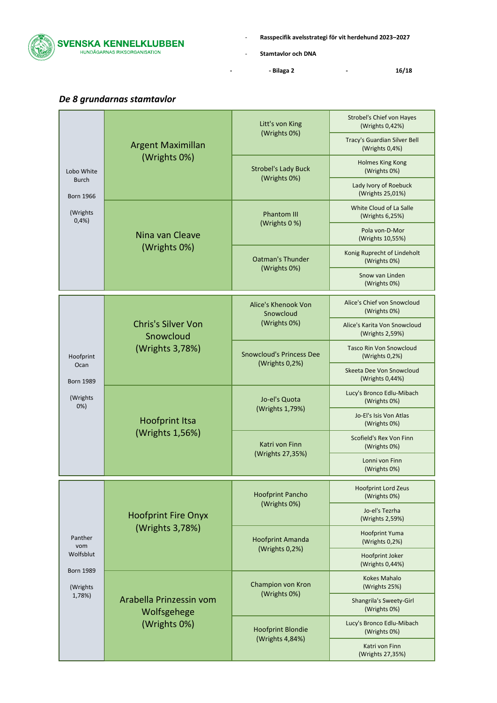

- **Stamtavlor och DNA**

**- - Bilaga 2 - 16/18**

|                                                     | <b>Argent Maximillan</b>                                  | Litt's von King                                   | <b>Strobel's Chief von Hayes</b><br>(Wrights 0,42%) |
|-----------------------------------------------------|-----------------------------------------------------------|---------------------------------------------------|-----------------------------------------------------|
|                                                     |                                                           | (Wrights 0%)                                      | Tracy's Guardian Silver Bell<br>(Wrights 0,4%)      |
| Lobo White                                          | (Wrights 0%)                                              | <b>Strobel's Lady Buck</b>                        | <b>Holmes King Kong</b><br>(Wrights 0%)             |
| <b>Burch</b><br><b>Born 1966</b>                    |                                                           | (Wrights 0%)                                      | Lady Ivory of Roebuck<br>(Wrights 25,01%)           |
| (Wrights<br>0,4%                                    |                                                           | <b>Phantom III</b>                                | White Cloud of La Salle<br>(Wrights 6,25%)          |
|                                                     | Nina van Cleave                                           | (Wrights 0 %)                                     | Pola von-D-Mor<br>(Wrights 10,55%)                  |
|                                                     | (Wrights 0%)                                              | <b>Oatman's Thunder</b>                           | Konig Ruprecht of Lindeholt<br>(Wrights 0%)         |
|                                                     |                                                           | (Wrights 0%)                                      | Snow van Linden<br>(Wrights 0%)                     |
|                                                     |                                                           | Alice's Khenook Von<br>Snowcloud                  | Alice's Chief von Snowcloud<br>(Wrights 0%)         |
|                                                     | <b>Chris's Silver Von</b><br>Snowcloud<br>(Wrights 3,78%) | (Wrights 0%)                                      | Alice's Karita Von Snowcloud<br>(Wrights 2,59%)     |
| Hoofprint                                           |                                                           | <b>Snowcloud's Princess Dee</b><br>(Wrights 0,2%) | <b>Tasco Rin Von Snowcloud</b><br>(Wrights $0,2%$ ) |
| Ocan<br><b>Born 1989</b>                            |                                                           |                                                   | Skeeta Dee Von Snowcloud<br>(Wrights 0,44%)         |
| (Wrights<br>0%                                      | <b>Hoofprint Itsa</b><br>(Wrights 1,56%)                  | Jo-el's Quota<br>(Wrights 1,79%)                  | Lucy's Bronco Edlu-Mibach<br>(Wrights 0%)           |
|                                                     |                                                           |                                                   | Jo-El's Isis Von Atlas<br>(Wrights 0%)              |
|                                                     |                                                           | Katri von Finn<br>(Wrights 27,35%)                | Scofield's Rex Von Finn<br>(Wrights 0%)             |
|                                                     |                                                           |                                                   | Lonni von Finn<br>(Wrights 0%)                      |
|                                                     | <b>Hoofprint Fire Onyx</b><br>(Wrights 3,78%)             | <b>Hoofprint Pancho</b><br>(Wrights 0%)           | <b>Hoofprint Lord Zeus</b><br>(Wrights 0%)          |
|                                                     |                                                           |                                                   | Jo-el's Tezrha<br>(Wrights 2,59%)                   |
| Panther<br>vom                                      |                                                           | <b>Hoofprint Amanda</b><br>(Wrights 0,2%)         | <b>Hoofprint Yuma</b><br>(Wrights 0,2%)             |
| Wolfsblut<br><b>Born 1989</b><br>(Wrights<br>1,78%) |                                                           |                                                   | Hoofprint Joker<br>(Wrights 0,44%)                  |
|                                                     |                                                           | Champion von Kron                                 | <b>Kokes Mahalo</b><br>(Wrights 25%)                |
|                                                     | Arabella Prinzessin vom<br>Wolfsgehege                    | (Wrights 0%)                                      | Shangrila's Sweety-Girl<br>(Wrights 0%)             |
|                                                     | (Wrights 0%)                                              | <b>Hoofprint Blondie</b><br>(Wrights 4,84%)       | Lucy's Bronco Edlu-Mibach<br>(Wrights 0%)           |
|                                                     |                                                           |                                                   | Katri von Finn<br>(Wrights 27,35%)                  |

## <span id="page-15-0"></span>*De 8 grundarnas stamtavlor*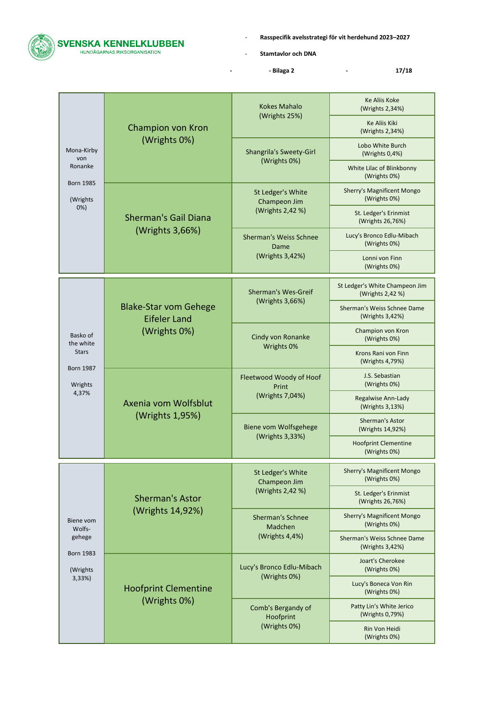SVENSKA KENNELKLUBBEN

- **Rasspecifik avelsstrategi för vit herdehund 2023–2027**

- **Stamtavlor och DNA**

**- - Bilaga 2 - 17/18**

|  |                                        | Champion von Kron                                                   | <b>Kokes Mahalo</b>                                   | <b>Ke Aliis Koke</b><br>(Wrights 2,34%)            |
|--|----------------------------------------|---------------------------------------------------------------------|-------------------------------------------------------|----------------------------------------------------|
|  |                                        |                                                                     | (Wrights 25%)                                         | <b>Ke Aliis Kiki</b><br>(Wrights 2,34%)            |
|  | Mona-Kirby<br>von                      | (Wrights 0%)                                                        | <b>Shangrila's Sweety-Girl</b>                        | Lobo White Burch<br>(Wrights 0,4%)                 |
|  | Ronanke<br><b>Born 1985</b>            |                                                                     | (Wrights 0%)                                          | White Lilac of Blinkbonny<br>(Wrights 0%)          |
|  | (Wrights                               |                                                                     | St Ledger's White<br>Champeon Jim                     | <b>Sherry's Magnificent Mongo</b><br>(Wrights 0%)  |
|  | 0%                                     | <b>Sherman's Gail Diana</b>                                         | (Wrights 2,42 %)                                      | St. Ledger's Erinmist<br>(Wrights 26,76%)          |
|  |                                        | (Wrights 3,66%)                                                     | <b>Sherman's Weiss Schnee</b><br>Dame                 | Lucy's Bronco Edlu-Mibach<br>(Wrights 0%)          |
|  |                                        |                                                                     | (Wrights 3,42%)                                       | Lonni von Finn<br>(Wrights 0%)                     |
|  |                                        |                                                                     | Sherman's Wes-Greif                                   | St Ledger's White Champeon Jim<br>(Wrights 2,42 %) |
|  |                                        | <b>Blake-Star vom Gehege</b><br><b>Eifeler Land</b><br>(Wrights 0%) | (Wrights 3,66%)                                       | Sherman's Weiss Schnee Dame<br>(Wrights 3,42%)     |
|  | Basko of<br>the white                  |                                                                     | Cindy von Ronanke<br>Wrights 0%                       | Champion von Kron<br>(Wrights 0%)                  |
|  | <b>Stars</b>                           |                                                                     |                                                       | Krons Rani von Finn<br>(Wrights 4,79%)             |
|  | <b>Born 1987</b><br>Wrights            | Axenia vom Wolfsblut<br>(Wrights 1,95%)                             | Fleetwood Woody of Hoof<br>Print                      | J.S. Sebastian<br>(Wrights 0%)                     |
|  | 4,37%                                  |                                                                     | (Wrights 7,04%)                                       | Regalwise Ann-Lady<br>(Wrights 3,13%)              |
|  |                                        |                                                                     | Biene vom Wolfsgehege<br>(Wrights 3,33%)              | <b>Sherman's Astor</b><br>(Wrights 14,92%)         |
|  |                                        |                                                                     |                                                       | <b>Hoofprint Clementine</b><br>(Wrights 0%)        |
|  |                                        |                                                                     | St Ledger's White<br>Champeon Jim<br>(Wrights 2,42 %) | <b>Sherry's Magnificent Mongo</b><br>(Wrights 0%)  |
|  |                                        | <b>Sherman's Astor</b>                                              |                                                       | St. Ledger's Erinmist<br>(Wrights 26,76%)          |
|  | Biene vom<br>Wolfs-                    | (Wrights 14,92%)                                                    | <b>Sherman's Schnee</b><br>Madchen                    | <b>Sherry's Magnificent Mongo</b><br>(Wrights 0%)  |
|  | gehege                                 |                                                                     | (Wrights 4,4%)                                        | Sherman's Weiss Schnee Dame<br>(Wrights 3,42%)     |
|  | <b>Born 1983</b><br>(Wrights<br>3,33%) |                                                                     | Lucy's Bronco Edlu-Mibach                             | Joart's Cherokee<br>(Wrights 0%)                   |
|  |                                        | <b>Hoofprint Clementine</b>                                         | (Wrights 0%)                                          | Lucy's Boneca Von Rin<br>(Wrights 0%)              |
|  |                                        | (Wrights 0%)                                                        | Comb's Bergandy of<br>Hoofprint<br>(Wrights 0%)       | Patty Lin's White Jerico<br>(Wrights 0,79%)        |
|  |                                        |                                                                     |                                                       | Rin Von Heidi<br>(Wrights 0%)                      |